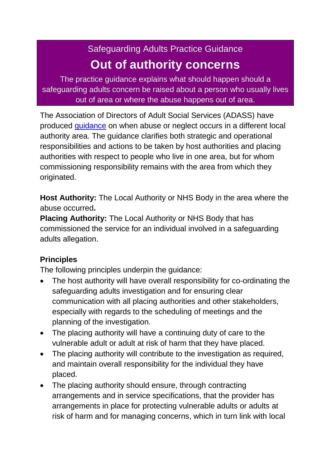## Safeguarding Adults Practice Guidance **Out of authority concerns**

The practice guidance explains what should happen should a safeguarding adults concern be raised about a person who usually lives out of area or where the abuse happens out of area.

The Association of Directors of Adult Social Services (ADASS) have produced [guidance](http://www.adass.org.uk/images/stories/Policy%20Networks/Safeguarding_Adults/Key_Documents/ADASS_GuidanceInterAuthoritySafeguardingArrangementsDec12.pdf) on when abuse or neglect occurs in a different local authority area. The guidance clarifies both strategic and operational responsibilities and actions to be taken by host authorities and placing authorities with respect to people who live in one area, but for whom commissioning responsibility remains with the area from which they originated.

**Host Authority:** The Local Authority or NHS Body in the area where the abuse occurred**.**

**Placing Authority:** The Local Authority or NHS Body that has commissioned the service for an individual involved in a safeguarding adults allegation.

## **Principles**

The following principles underpin the guidance:

- The host authority will have overall responsibility for co-ordinating the safeguarding adults investigation and for ensuring clear communication with all placing authorities and other stakeholders, especially with regards to the scheduling of meetings and the planning of the investigation.
- The placing authority will have a continuing duty of care to the vulnerable adult or adult at risk of harm that they have placed.
- The placing authority will contribute to the investigation as required, and maintain overall responsibility for the individual they have placed.
- The placing authority should ensure, through contracting arrangements and in service specifications, that the provider has arrangements in place for protecting vulnerable adults or adults at risk of harm and for managing concerns, which in turn link with local